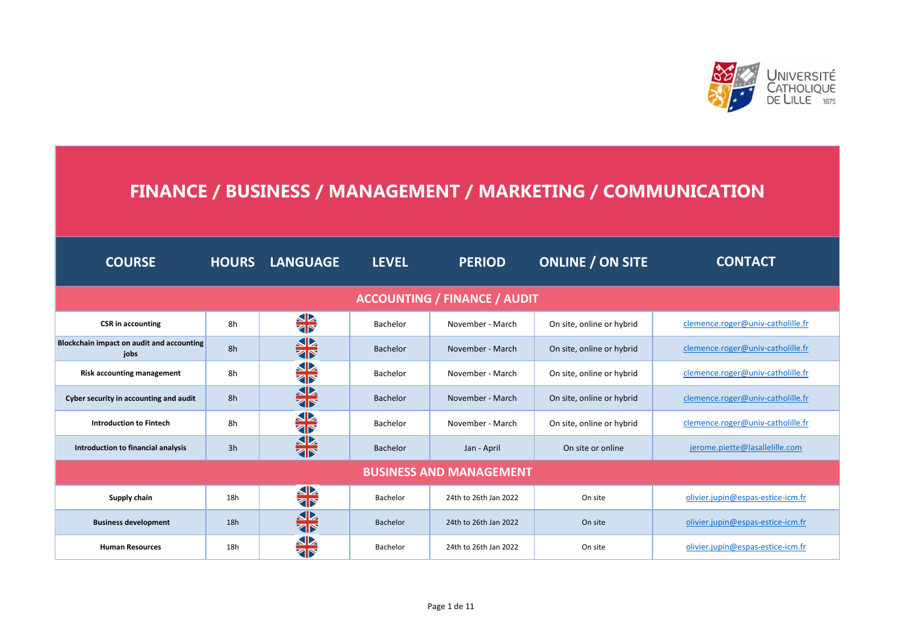

## **FINANCE / BUSINESS / MANAGEMENT / MARKETING / COMMUNICATION**

| <b>COURSE</b>                                     |     | <b>HOURS LANGUAGE</b> | <b>LEVEL</b>    | <b>PERIOD</b>                  | <b>ONLINE / ON SITE</b>   | <b>CONTACT</b>                    |  |  |  |
|---------------------------------------------------|-----|-----------------------|-----------------|--------------------------------|---------------------------|-----------------------------------|--|--|--|
| <b>ACCOUNTING / FINANCE / AUDIT</b>               |     |                       |                 |                                |                           |                                   |  |  |  |
| <b>CSR</b> in accounting                          | 8h  | <b>SIX</b>            | Bachelor        | November - March               | On site, online or hybrid | clemence.roger@univ-catholille.fr |  |  |  |
| Blockchain impact on audit and accounting<br>iobs | 8h  | 非                     | <b>Bachelor</b> | November - March               | On site, online or hybrid | clemence.roger@univ-catholille.fr |  |  |  |
| <b>Risk accounting management</b>                 | 8h  | <b>SIX</b>            | Bachelor        | November - March               | On site, online or hybrid | clemence.roger@univ-catholille.fr |  |  |  |
| Cyber security in accounting and audit            | 8h  | SK <sub>R</sub>       | <b>Bachelor</b> | November - March               | On site, online or hybrid | clemence.roger@univ-catholille.fr |  |  |  |
| <b>Introduction to Fintech</b>                    | 8h  | <b>SIX</b>            | Bachelor        | November - March               | On site, online or hybrid | clemence.roger@univ-catholille.fr |  |  |  |
| Introduction to financial analysis                | 3h  | ╬                     | <b>Bachelor</b> | Jan - April                    | On site or online         | jerome.piette@lasallelille.com    |  |  |  |
|                                                   |     |                       |                 | <b>BUSINESS AND MANAGEMENT</b> |                           |                                   |  |  |  |
| Supply chain                                      | 18h | <b>SIA</b>            | Bachelor        | 24th to 26th Jan 2022          | On site                   | olivier.jupin@espas-estice-icm.fr |  |  |  |
| <b>Business development</b>                       | 18h | 器                     | Bachelor        | 24th to 26th Jan 2022          | On site                   | olivier.jupin@espas-estice-icm.fr |  |  |  |
| <b>Human Resources</b>                            | 18h | 器                     | Bachelor        | 24th to 26th Jan 2022          | On site                   | olivier.jupin@espas-estice-jcm.fr |  |  |  |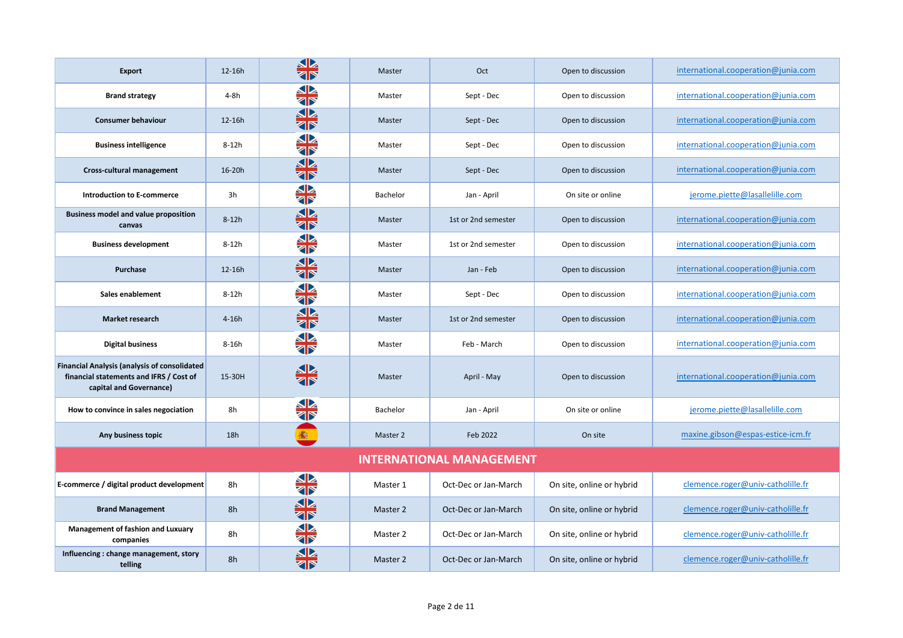| <b>Export</b>                                                                                                             | 12-16h  | <u>SP</u><br>বাস        | Master          | Oct                             | Open to discussion        | international.cooperation@junia.com |
|---------------------------------------------------------------------------------------------------------------------------|---------|-------------------------|-----------------|---------------------------------|---------------------------|-------------------------------------|
| <b>Brand strategy</b>                                                                                                     | $4-8h$  | SP<br><b>ZIP</b>        | Master          | Sept - Dec                      | Open to discussion        | international.cooperation@junia.com |
| <b>Consumer behaviour</b>                                                                                                 | 12-16h  | SB<br><b>ZF</b>         | Master          | Sept - Dec                      | Open to discussion        | international.cooperation@junia.com |
| <b>Business intelligence</b>                                                                                              | $8-12h$ | <b>SIA</b><br>Sir       | Master          | Sept - Dec                      | Open to discussion        | international.cooperation@junia.com |
| Cross-cultural management                                                                                                 | 16-20h  | 非                       | Master          | Sept - Dec                      | Open to discussion        | international.cooperation@junia.com |
| <b>Introduction to E-commerce</b>                                                                                         | 3h      | 非常                      | <b>Bachelor</b> | Jan - April                     | On site or online         | jerome.piette@lasallelille.com      |
| <b>Business model and value proposition</b><br>canvas                                                                     | $8-12h$ | 非                       | Master          | 1st or 2nd semester             | Open to discussion        | international.cooperation@junia.com |
| <b>Business development</b>                                                                                               | $8-12h$ | 非                       | Master          | 1st or 2nd semester             | Open to discussion        | international.cooperation@junia.com |
| Purchase                                                                                                                  | 12-16h  | <u>SP.</u><br><b>AP</b> | Master          | Jan - Feb                       | Open to discussion        | international.cooperation@junia.com |
| Sales enablement                                                                                                          | $8-12h$ | <b>SIX</b>              | Master          | Sept - Dec                      | Open to discussion        | international.cooperation@junia.com |
| <b>Market research</b>                                                                                                    | $4-16h$ | <b>SIX</b>              | Master          | 1st or 2nd semester             | Open to discussion        | international.cooperation@junia.com |
| <b>Digital business</b>                                                                                                   | 8-16h   | SP<br><b>AP</b>         | Master          | Feb - March                     | Open to discussion        | international.cooperation@junia.com |
| <b>Financial Analysis (analysis of consolidated</b><br>financial statements and IFRS / Cost of<br>capital and Governance) | 15-30H  | <b>SIX</b>              | Master          | April - May                     | Open to discussion        | international.cooperation@junia.com |
| How to convince in sales negociation                                                                                      | 8h      | <b>ZD</b>               | Bachelor        | Jan - April                     | On site or online         | jerome.piette@lasallelille.com      |
| Any business topic                                                                                                        | 18h     | 蠃                       | Master 2        | Feb 2022                        | On site                   | maxine.gibson@espas-estice-icm.fr   |
|                                                                                                                           |         |                         |                 | <b>INTERNATIONAL MANAGEMENT</b> |                           |                                     |
| E-commerce / digital product development                                                                                  | 8h      | 冬                       | Master 1        | Oct-Dec or Jan-March            | On site, online or hybrid | clemence.roger@univ-catholille.fr   |
| <b>Brand Management</b>                                                                                                   | 8h      | 器                       | Master 2        | Oct-Dec or Jan-March            | On site, online or hybrid | clemence.roger@univ-catholille.fr   |
| Management of fashion and Luxuary<br>companies                                                                            | 8h      | <b>si</b><br>ar         | Master 2        | Oct-Dec or Jan-March            | On site, online or hybrid | clemence.roger@univ-catholille.fr   |
| Influencing: change management, story<br>telling                                                                          | 8h      |                         | Master 2        | Oct-Dec or Jan-March            | On site, online or hybrid | clemence.roger@univ-catholille.fr   |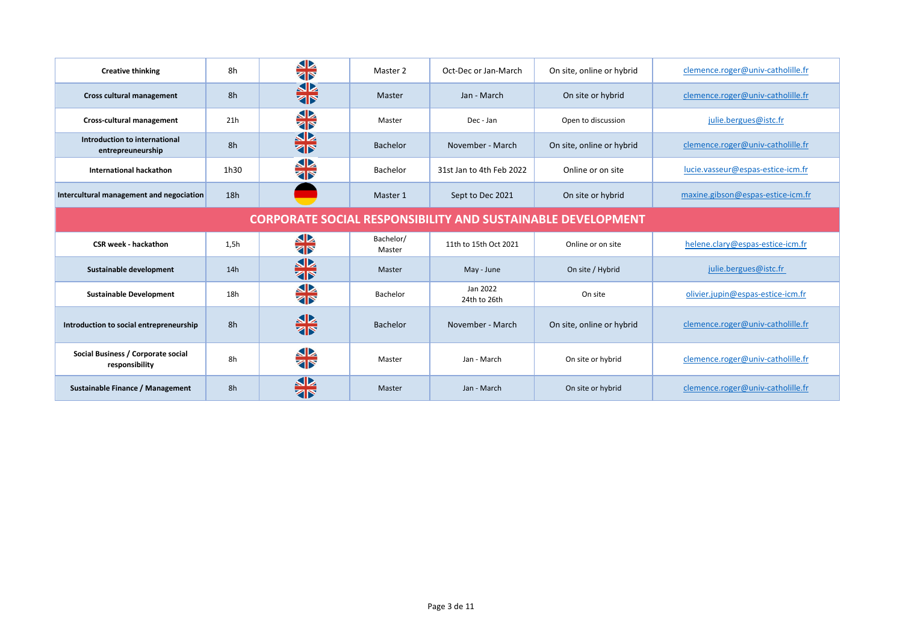| <b>Creative thinking</b>                                           | 8h   | <b>SIX</b>                 | Master 2            | Oct-Dec or Jan-March     | On site, online or hybrid | clemence.roger@univ-catholille.fr |  |
|--------------------------------------------------------------------|------|----------------------------|---------------------|--------------------------|---------------------------|-----------------------------------|--|
| Cross cultural management                                          | 8h   | <b>SIX</b>                 | Master              | Jan - March              | On site or hybrid         | clemence.roger@univ-catholille.fr |  |
| Cross-cultural management                                          | 21h  | <b>SIX</b>                 | Master              | Dec - Jan                | Open to discussion        | julie.bergues@istc.fr             |  |
| Introduction to international<br>entrepreuneurship                 | 8h   | <b>SIN</b>                 | <b>Bachelor</b>     | November - March         | On site, online or hybrid | clemence.roger@univ-catholille.fr |  |
| <b>International hackathon</b>                                     | 1h30 | $\mathbf{L}$<br><b>ZIP</b> | Bachelor            | 31st Jan to 4th Feb 2022 | Online or on site         | lucie.vasseur@espas-estice-icm.fr |  |
| Intercultural management and negociation                           | 18h  |                            | Master 1            | Sept to Dec 2021         | On site or hybrid         | maxine.gibson@espas-estice-icm.fr |  |
| <b>CORPORATE SOCIAL RESPONSIBILITY AND SUSTAINABLE DEVELOPMENT</b> |      |                            |                     |                          |                           |                                   |  |
|                                                                    |      |                            |                     |                          |                           |                                   |  |
| <b>CSR week - hackathon</b>                                        | 1,5h | <b>SIA</b>                 | Bachelor/<br>Master | 11th to 15th Oct 2021    | Online or on site         | helene.clary@espas-estice-icm.fr  |  |
| Sustainable development                                            | 14h  | 非                          | Master              | May - June               | On site / Hybrid          | julie.bergues@istc.fr             |  |
| <b>Sustainable Development</b>                                     | 18h  | <b>SIA</b>                 | Bachelor            | Jan 2022<br>24th to 26th | On site                   | olivier.jupin@espas-estice-icm.fr |  |
| Introduction to social entrepreneurship                            | 8h   | 非                          | <b>Bachelor</b>     | November - March         | On site, online or hybrid | clemence.roger@univ-catholille.fr |  |
| Social Business / Corporate social<br>responsibility               | 8h   | <b>SIX</b>                 | Master              | Jan - March              | On site or hybrid         | clemence.roger@univ-catholille.fr |  |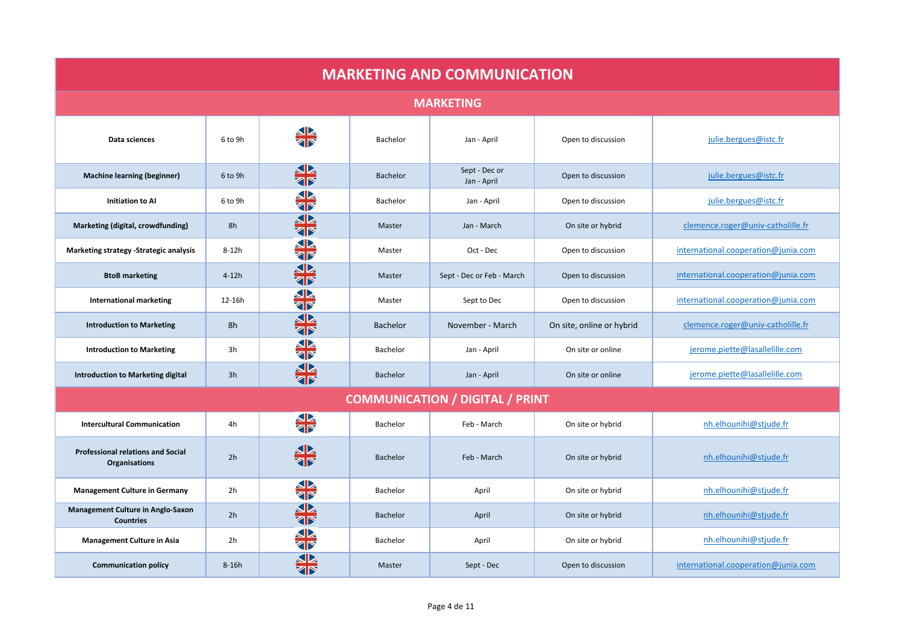| <b>MARKETING AND COMMUNICATION</b>                               |         |                   |                 |                                        |                           |                                     |  |  |
|------------------------------------------------------------------|---------|-------------------|-----------------|----------------------------------------|---------------------------|-------------------------------------|--|--|
| <b>MARKETING</b>                                                 |         |                   |                 |                                        |                           |                                     |  |  |
| Data sciences                                                    | 6 to 9h | <b>SIA</b>        | Bachelor        | Jan - April                            | Open to discussion        | julie.bergues@istc.fr               |  |  |
| <b>Machine learning (beginner)</b>                               | 6 to 9h | 非                 | <b>Bachelor</b> | Sept - Dec or<br>Jan - April           | Open to discussion        | julie.bergues@istc.fr               |  |  |
| <b>Initiation to Al</b>                                          | 6 to 9h | 非                 | Bachelor        | Jan - April                            | Open to discussion        | julie.bergues@istc.fr               |  |  |
| Marketing (digital, crowdfunding)                                | 8h      | 器                 | Master          | Jan - March                            | On site or hybrid         | clemence.roger@univ-catholille.fr   |  |  |
| Marketing strategy -Strategic analysis                           | $8-12h$ | SR<br><b>ZIP</b>  | Master          | Oct - Dec                              | Open to discussion        | international.cooperation@junia.com |  |  |
| <b>BtoB</b> marketing                                            | $4-12h$ | 器                 | Master          | Sept - Dec or Feb - March              | Open to discussion        | international.cooperation@junia.com |  |  |
| <b>International marketing</b>                                   | 12-16h  | <b>SIX</b>        | Master          | Sept to Dec                            | Open to discussion        | international.cooperation@junia.com |  |  |
| <b>Introduction to Marketing</b>                                 | 8h      | 器                 | <b>Bachelor</b> | November - March                       | On site, online or hybrid | clemence.roger@univ-catholille.fr   |  |  |
| <b>Introduction to Marketing</b>                                 | 3h      | 非                 | Bachelor        | Jan - April                            | On site or online         | jerome.piette@lasallelille.com      |  |  |
| <b>Introduction to Marketing digital</b>                         | 3h      | 器                 | <b>Bachelor</b> | Jan - April                            | On site or online         | jerome.piette@lasallelille.com      |  |  |
|                                                                  |         |                   |                 | <b>COMMUNICATION / DIGITAL / PRINT</b> |                           |                                     |  |  |
| <b>Intercultural Communication</b>                               | 4h      | 斗                 | Bachelor        | Feb - March                            | On site or hybrid         | nh.elhounihi@stjude.fr              |  |  |
| <b>Professional relations and Social</b><br><b>Organisations</b> | 2h      | <b>SIX</b><br>Six | <b>Bachelor</b> | Feb - March                            | On site or hybrid         | nh.elhounihi@stjude.fr              |  |  |
| <b>Management Culture in Germany</b>                             | 2h      | 器                 | Bachelor        | April                                  | On site or hybrid         | nh.elhounihi@stjude.fr              |  |  |
| Management Culture in Anglo-Saxon<br><b>Countries</b>            | 2h      | SP<br><b>ZIP</b>  | Bachelor        | April                                  | On site or hybrid         | nh.elhounihi@stjude.fr              |  |  |
| <b>Management Culture in Asia</b>                                | 2h      | SP<br><b>ZIP</b>  | Bachelor        | April                                  | On site or hybrid         | nh.elhounihi@stjude.fr              |  |  |
| <b>Communication policy</b>                                      | $8-16h$ | বাস               | Master          | Sept - Dec                             | Open to discussion        | international.cooperation@junia.com |  |  |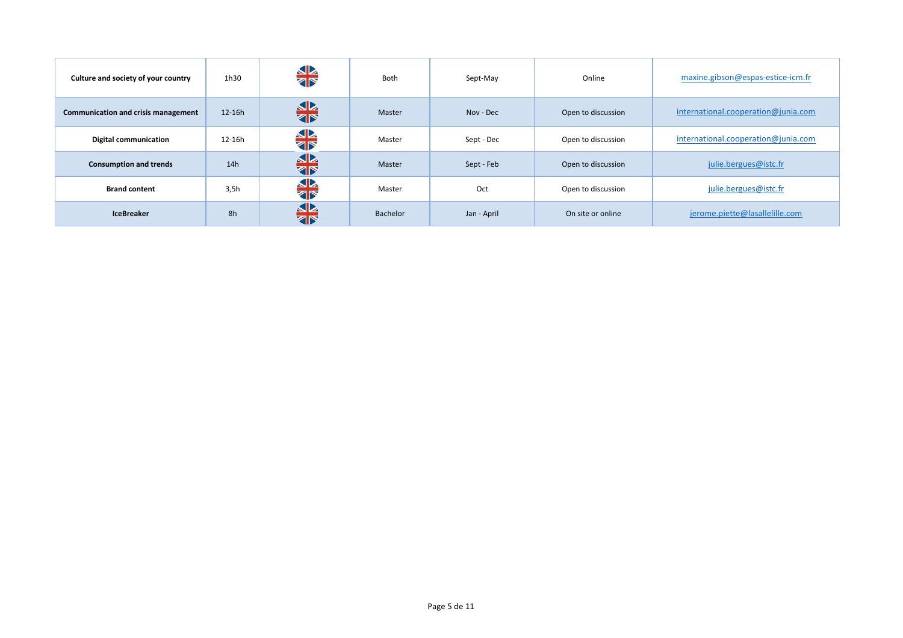| Culture and society of your country | 1h30   | <b>SIA</b> | Both     | Sept-May    | Online             | maxine.gibson@espas-estice-icm.fr   |
|-------------------------------------|--------|------------|----------|-------------|--------------------|-------------------------------------|
| Communication and crisis management | 12-16h | 非常         | Master   | Nov - Dec   | Open to discussion | international.cooperation@junia.com |
| <b>Digital communication</b>        | 12-16h | <b>SIA</b> | Master   | Sept - Dec  | Open to discussion | international.cooperation@junia.com |
| <b>Consumption and trends</b>       | 14h    | 非常         | Master   | Sept - Feb  | Open to discussion | julie.bergues@istc.fr               |
| <b>Brand content</b>                | 3,5h   | <b>SIA</b> | Master   | Oct         | Open to discussion | julie.bergues@istc.fr               |
| <b>IceBreaker</b>                   | 8h     | 器          | Bachelor | Jan - April | On site or online  | jerome.piette@lasallelille.com      |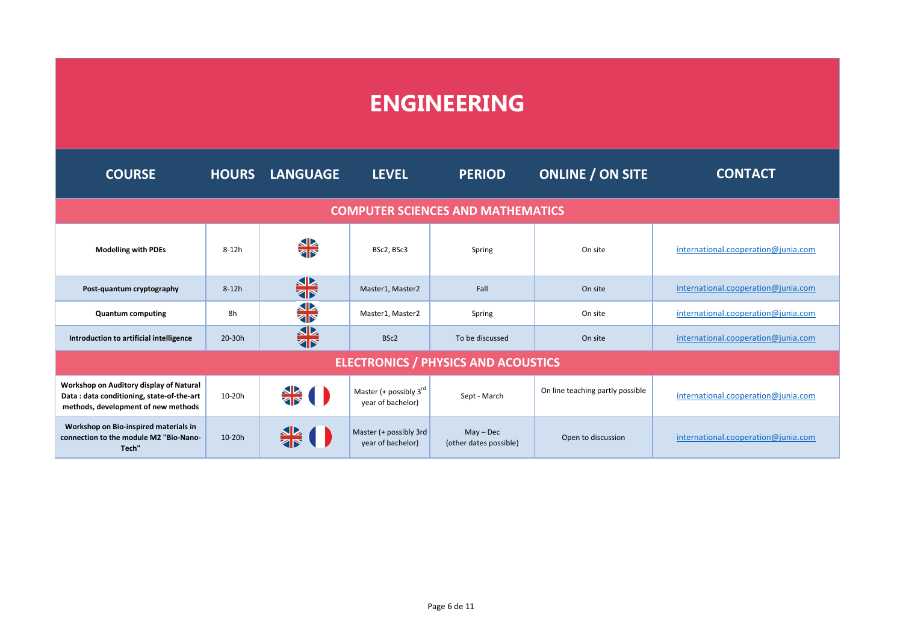## **ENGINEERING**

| <b>COURSE</b>                                                                                                               | <b>HOURS</b> | <b>LANGUAGE</b>    | <b>LEVEL</b>                                            | <b>PERIOD</b>                              | <b>ONLINE / ON SITE</b>          | <b>CONTACT</b>                      |  |  |  |
|-----------------------------------------------------------------------------------------------------------------------------|--------------|--------------------|---------------------------------------------------------|--------------------------------------------|----------------------------------|-------------------------------------|--|--|--|
| <b>COMPUTER SCIENCES AND MATHEMATICS</b>                                                                                    |              |                    |                                                         |                                            |                                  |                                     |  |  |  |
| <b>Modelling with PDEs</b>                                                                                                  | $8-12h$      | <b>SIA</b>         | BSc2, BSc3                                              | Spring                                     | On site                          | international.cooperation@junia.com |  |  |  |
| Post-quantum cryptography                                                                                                   | $8-12h$      | ╬                  | Master1, Master2                                        | Fall                                       | On site                          | international.cooperation@junia.com |  |  |  |
| <b>Quantum computing</b>                                                                                                    | 8h           | 冬                  | Master1, Master2                                        | Spring                                     | On site                          | international.cooperation@junia.com |  |  |  |
| Introduction to artificial intelligence                                                                                     | 20-30h       | ╬                  | BSc2                                                    | To be discussed                            | On site                          | international.cooperation@junia.com |  |  |  |
|                                                                                                                             |              |                    |                                                         | <b>ELECTRONICS / PHYSICS AND ACOUSTICS</b> |                                  |                                     |  |  |  |
| Workshop on Auditory display of Natural<br>Data: data conditioning, state-of-the-art<br>methods, development of new methods | $10-20h$     | $\frac{1}{28}$ ( ) | Master (+ possibly $3^{\text{rd}}$<br>year of bachelor) | Sept - March                               | On line teaching partly possible | international.cooperation@junia.com |  |  |  |
| Workshop on Bio-inspired materials in<br>connection to the module M2 "Bio-Nano-<br>Tech"                                    | $10-20h$     |                    | Master (+ possibly 3rd<br>year of bachelor)             | $May - Dec$<br>(other dates possible)      | Open to discussion               | international.cooperation@junia.com |  |  |  |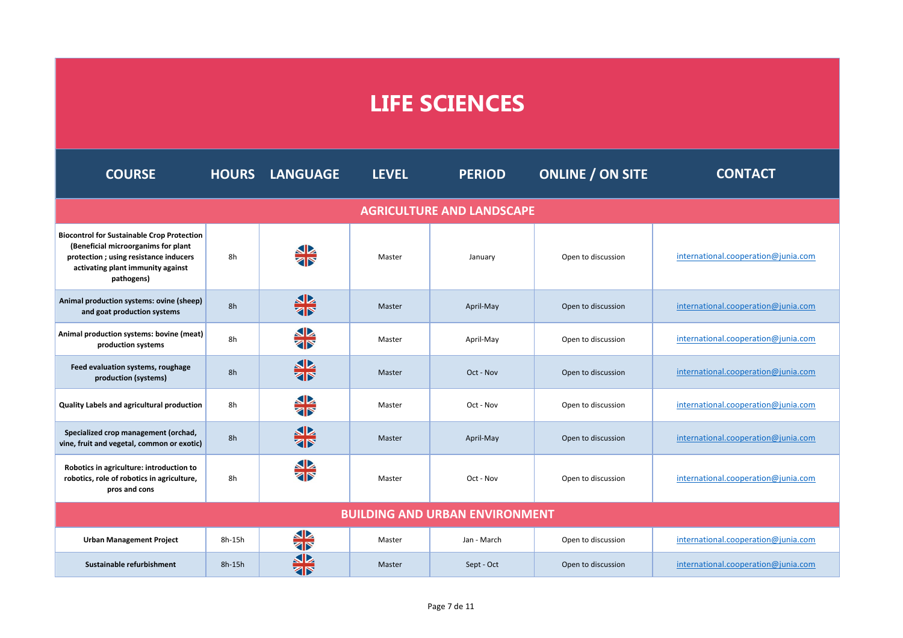## **LIFE SCIENCES**

| <b>COURSE</b>                                                                                                                                                                        |          | <b>HOURS LANGUAGE</b>   | <b>LEVEL</b> | <b>PERIOD</b>                         | <b>ONLINE / ON SITE</b> | <b>CONTACT</b>                      |
|--------------------------------------------------------------------------------------------------------------------------------------------------------------------------------------|----------|-------------------------|--------------|---------------------------------------|-------------------------|-------------------------------------|
|                                                                                                                                                                                      |          |                         |              | <b>AGRICULTURE AND LANDSCAPE</b>      |                         |                                     |
| <b>Biocontrol for Sustainable Crop Protection</b><br>(Beneficial microorganims for plant<br>protection; using resistance inducers<br>activating plant immunity against<br>pathogens) | 8h       | <b>SIX</b>              | Master       | January                               | Open to discussion      | international.cooperation@junia.com |
| Animal production systems: ovine (sheep)<br>and goat production systems                                                                                                              | 8h       | 非                       | Master       | April-May                             | Open to discussion      | international.cooperation@junia.com |
| Animal production systems: bovine (meat)<br>production systems                                                                                                                       | 8h       | <b>SIA</b><br>SIR       | Master       | April-May                             | Open to discussion      | international.cooperation@junia.com |
| Feed evaluation systems, roughage<br>production (systems)                                                                                                                            | 8h       | 器                       | Master       | Oct - Nov                             | Open to discussion      | international.cooperation@junia.com |
| Quality Labels and agricultural production                                                                                                                                           | 8h       | <b>SIA</b>              | Master       | Oct - Nov                             | Open to discussion      | international.cooperation@junia.com |
| Specialized crop management (orchad,<br>vine, fruit and vegetal, common or exotic)                                                                                                   | 8h       | 器                       | Master       | April-May                             | Open to discussion      | international.cooperation@junia.com |
| Robotics in agriculture: introduction to<br>robotics, role of robotics in agriculture,<br>pros and cons                                                                              | 8h       |                         | Master       | Oct - Nov                             | Open to discussion      | international.cooperation@junia.com |
|                                                                                                                                                                                      |          |                         |              | <b>BUILDING AND URBAN ENVIRONMENT</b> |                         |                                     |
| <b>Urban Management Project</b>                                                                                                                                                      | 8h-15h   | <u>SP</u><br><b>ZIP</b> | Master       | Jan - March                           | Open to discussion      | international.cooperation@junia.com |
| Sustainable refurbishment                                                                                                                                                            | $8h-15h$ | ৰাস                     | Master       | Sept - Oct                            | Open to discussion      | international.cooperation@junia.com |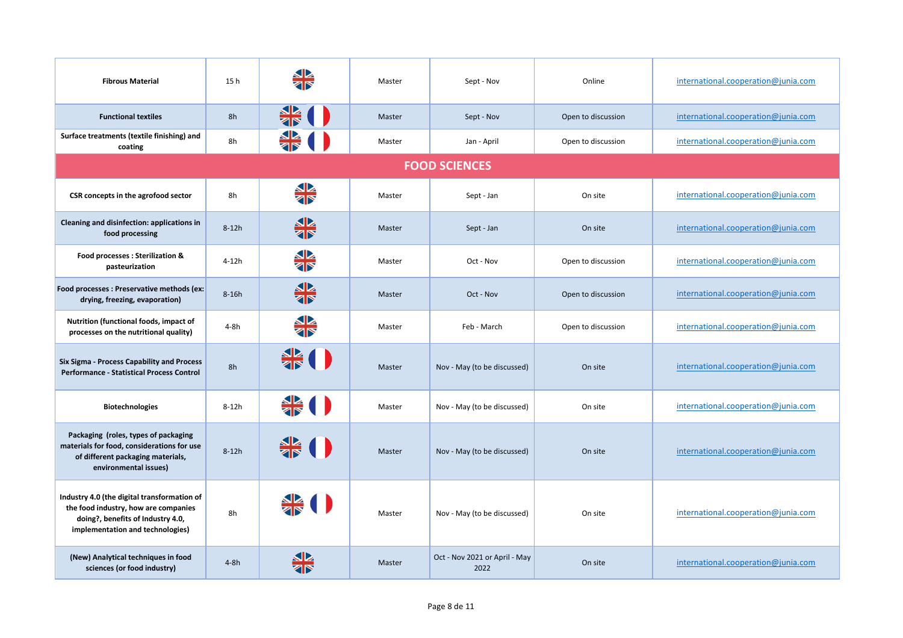| <b>Fibrous Material</b>                                                                                                                                      | 15 h    |                             | Master | Sept - Nov                            | Online             | international.cooperation@junia.com |
|--------------------------------------------------------------------------------------------------------------------------------------------------------------|---------|-----------------------------|--------|---------------------------------------|--------------------|-------------------------------------|
| <b>Functional textiles</b>                                                                                                                                   | 8h      |                             | Master | Sept - Nov                            | Open to discussion | international.cooperation@junia.com |
| Surface treatments (textile finishing) and<br>coating                                                                                                        | 8h      |                             | Master | Jan - April                           | Open to discussion | international.cooperation@junia.com |
|                                                                                                                                                              |         |                             |        | <b>FOOD SCIENCES</b>                  |                    |                                     |
| CSR concepts in the agrofood sector                                                                                                                          | 8h      | SP<br>ZN                    | Master | Sept - Jan                            | On site            | international.cooperation@junia.com |
| Cleaning and disinfection: applications in<br>food processing                                                                                                | $8-12h$ | <b>SR</b>                   | Master | Sept - Jan                            | On site            | international.cooperation@junia.com |
| Food processes : Sterilization &<br>pasteurization                                                                                                           | $4-12h$ | <b>AP</b>                   | Master | Oct - Nov                             | Open to discussion | international.cooperation@junia.com |
| Food processes : Preservative methods (ex:<br>drying, freezing, evaporation)                                                                                 | $8-16h$ | 非                           | Master | Oct - Nov                             | Open to discussion | international.cooperation@junia.com |
| Nutrition (functional foods, impact of<br>processes on the nutritional quality)                                                                              | 4-8h    | <b>SIA</b><br>28            | Master | Feb - March                           | Open to discussion | international.cooperation@junia.com |
| Six Sigma - Process Capability and Process<br><b>Performance - Statistical Process Control</b>                                                               | 8h      |                             | Master | Nov - May (to be discussed)           | On site            | international.cooperation@junia.com |
| <b>Biotechnologies</b>                                                                                                                                       | $8-12h$ | $rac{\triangle}{\triangle}$ | Master | Nov - May (to be discussed)           | On site            | international.cooperation@junia.com |
| Packaging (roles, types of packaging<br>materials for food, considerations for use<br>of different packaging materials,<br>environmental issues)             | $8-12h$ |                             | Master | Nov - May (to be discussed)           | On site            | international.cooperation@junia.com |
| Industry 4.0 (the digital transformation of<br>the food industry, how are companies<br>doing?, benefits of Industry 4.0,<br>implementation and technologies) | 8h      |                             | Master | Nov - May (to be discussed)           | On site            | international.cooperation@junia.com |
| (New) Analytical techniques in food<br>sciences (or food industry)                                                                                           | $4-8h$  |                             | Master | Oct - Nov 2021 or April - May<br>2022 | On site            | international.cooperation@junia.com |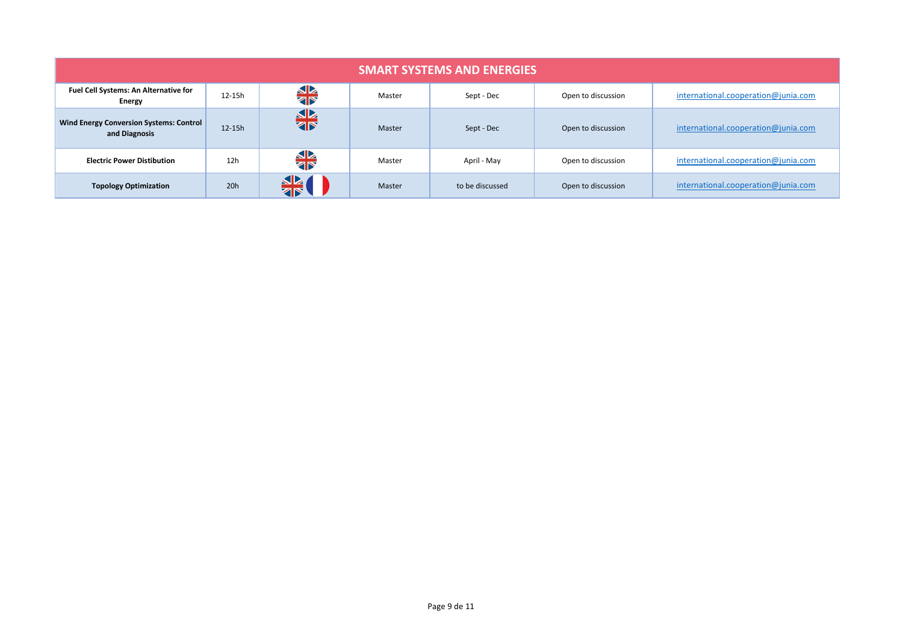| <b>SMART SYSTEMS AND ENERGIES</b>                        |          |                  |        |                 |                    |                                     |  |  |
|----------------------------------------------------------|----------|------------------|--------|-----------------|--------------------|-------------------------------------|--|--|
| Fuel Cell Systems: An Alternative for<br>Energy          | 12-15h   | <b>SIA</b>       | Master | Sept - Dec      | Open to discussion | international.cooperation@junia.com |  |  |
| Wind Energy Conversion Systems: Control<br>and Diagnosis | $12-15h$ | ╬                | Master | Sept - Dec      | Open to discussion | international.cooperation@junia.com |  |  |
| <b>Electric Power Distibution</b>                        | 12h      | <b>SIX</b>       | Master | April - May     | Open to discussion | international.cooperation@junia.com |  |  |
| <b>Topology Optimization</b>                             | 20h      | <u>SP</u><br>ৰাস | Master | to be discussed | Open to discussion | international.cooperation@junia.com |  |  |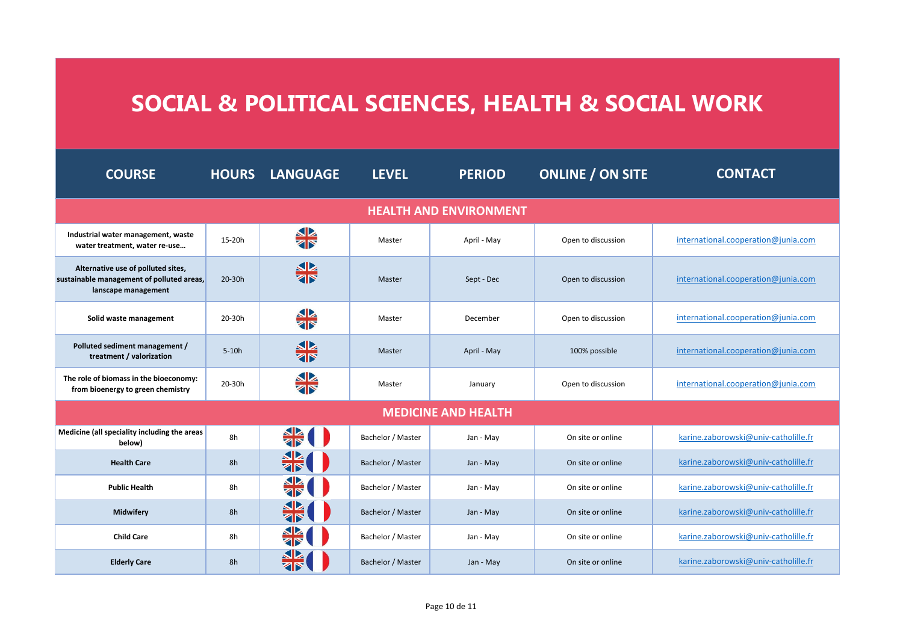## **SOCIAL & POLITICAL SCIENCES, HEALTH & SOCIAL WORK**

| <b>COURSE</b>                                                                                          | <b>HOURS</b> | <b>LANGUAGE</b> | <b>LEVEL</b>      | <b>PERIOD</b>              | <b>ONLINE / ON SITE</b> | <b>CONTACT</b>                       |  |  |  |
|--------------------------------------------------------------------------------------------------------|--------------|-----------------|-------------------|----------------------------|-------------------------|--------------------------------------|--|--|--|
| <b>HEALTH AND ENVIRONMENT</b>                                                                          |              |                 |                   |                            |                         |                                      |  |  |  |
| Industrial water management, waste<br>water treatment, water re-use                                    | 15-20h       | <b>SIA</b>      | Master            | April - May                | Open to discussion      | international.cooperation@junia.com  |  |  |  |
| Alternative use of polluted sites,<br>sustainable management of polluted areas,<br>lanscape management | 20-30h       | 器               | Master            | Sept - Dec                 | Open to discussion      | international.cooperation@junia.com  |  |  |  |
| Solid waste management                                                                                 | 20-30h       | <b>SIX</b>      | Master            | December                   | Open to discussion      | international.cooperation@junia.com  |  |  |  |
| Polluted sediment management /<br>treatment / valorization                                             | $5-10h$      | 带               | Master            | April - May                | 100% possible           | international.cooperation@junia.com  |  |  |  |
| The role of biomass in the bioeconomy:<br>from bioenergy to green chemistry                            | 20-30h       | <b>SIA</b>      | Master            | January                    | Open to discussion      | international.cooperation@junia.com  |  |  |  |
|                                                                                                        |              |                 |                   | <b>MEDICINE AND HEALTH</b> |                         |                                      |  |  |  |
| Medicine (all speciality including the areas<br>below)                                                 | 8h           |                 | Bachelor / Master | Jan - May                  | On site or online       | karine.zaborowski@univ-catholille.fr |  |  |  |
| <b>Health Care</b>                                                                                     | 8h           | 器               | Bachelor / Master | Jan - May                  | On site or online       | karine.zaborowski@univ-catholille.fr |  |  |  |
| <b>Public Health</b>                                                                                   | 8h           | ZIP             | Bachelor / Master | Jan - May                  | On site or online       | karine.zaborowski@univ-catholille.fr |  |  |  |
| Midwifery                                                                                              | 8h           | ╬               | Bachelor / Master | Jan - May                  | On site or online       | karine.zaborowski@univ-catholille.fr |  |  |  |
| <b>Child Care</b>                                                                                      | 8h           |                 | Bachelor / Master | Jan - May                  | On site or online       | karine.zaborowski@univ-catholille.fr |  |  |  |
| <b>Elderly Care</b>                                                                                    | 8h           | <b>ZIP</b>      | Bachelor / Master | Jan - May                  | On site or online       | karine.zaborowski@univ-catholille.fr |  |  |  |